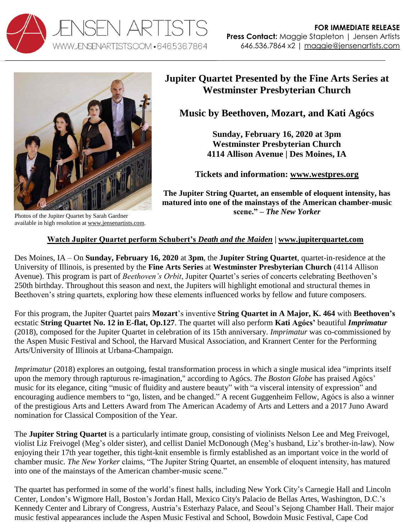



**Jupiter Quartet Presented by the Fine Arts Series at Westminster Presbyterian Church** 

**Music by Beethoven, Mozart, and Kati Agócs**

**Sunday, February 16, 2020 at 3pm Westminster Presbyterian Church 4114 Allison Avenue | Des Moines, IA**

**Tickets and information: [www.westpres.org](https://westpres.org/activites/music-and-art-at-westminster/fine-arts-series)**

**The Jupiter String Quartet, an ensemble of eloquent intensity, has matured into one of the mainstays of the American chamber-music scene." –** *The New Yorker*

available in high resolution at [www.jensenartists.com.](http://www.jensenartists.com/jupiter-string-quartet)

## **[Watch Jupiter Quartet perform Schubert's](https://vimeo.com/115453429)** *Death and the Maiden* **| [www.jupiterquartet.com](http://www.jupiterquartet.com/)**

Des Moines, IA – On **Sunday, February 16, 2020** at **3pm**, the **Jupiter String Quartet**, quartet-in-residence at the University of Illinois, is presented by the **Fine Arts Series** at **Westminster Presbyterian Church** (4114 Allison Avenue). This program is part of *Beethoven's Orbit*, Jupiter Quartet's series of concerts celebrating Beethoven's 250th birthday. Throughout this season and next, the Jupiters will highlight emotional and structural themes in Beethoven's string quartets, exploring how these elements influenced works by fellow and future composers.

For this program, the Jupiter Quartet pairs **Mozart**'s inventive **String Quartet in A Major, K. 464** with **Beethoven's** ecstatic **String Quartet No. 12 in E-flat, Op.127**. The quartet will also perform **Kati Agócs'** beautiful *Imprimatur* (2018), composed for the Jupiter Quartet in celebration of its 15th anniversary. *Imprimatur* was co-commissioned by the Aspen Music Festival and School, the Harvard Musical Association, and Krannert Center for the Performing Arts/University of Illinois at Urbana-Champaign.

*Imprimatur* (2018) explores an outgoing, festal transformation process in which a single musical idea "imprints itself upon the memory through rapturous re-imagination," according to Agócs. *The Boston Globe* has praised Agócs' music for its elegance, citing "music of fluidity and austere beauty" with "a visceral intensity of expression" and encouraging audience members to "go, listen, and be changed." A recent Guggenheim Fellow, Agócs is also a winner of the prestigious Arts and Letters Award from The American Academy of Arts and Letters and a 2017 Juno Award nomination for Classical Composition of the Year.

The **Jupiter String Quartet** is a particularly intimate group, consisting of violinists Nelson Lee and Meg Freivogel, violist Liz Freivogel (Meg's older sister), and cellist Daniel McDonough (Meg's husband, Liz's brother-in-law). Now enjoying their 17th year together, this tight-knit ensemble is firmly established as an important voice in the world of chamber music. *The New Yorker* claims, "The Jupiter String Quartet, an ensemble of eloquent intensity, has matured into one of the mainstays of the American chamber-music scene."

The quartet has performed in some of the world's finest halls, including New York City's Carnegie Hall and Lincoln Center, London's Wigmore Hall, Boston's Jordan Hall, Mexico City's Palacio de Bellas Artes, Washington, D.C.'s Kennedy Center and Library of Congress, Austria's Esterhazy Palace, and Seoul's Sejong Chamber Hall. Their major music festival appearances include the Aspen Music Festival and School, Bowdoin Music Festival, Cape Cod